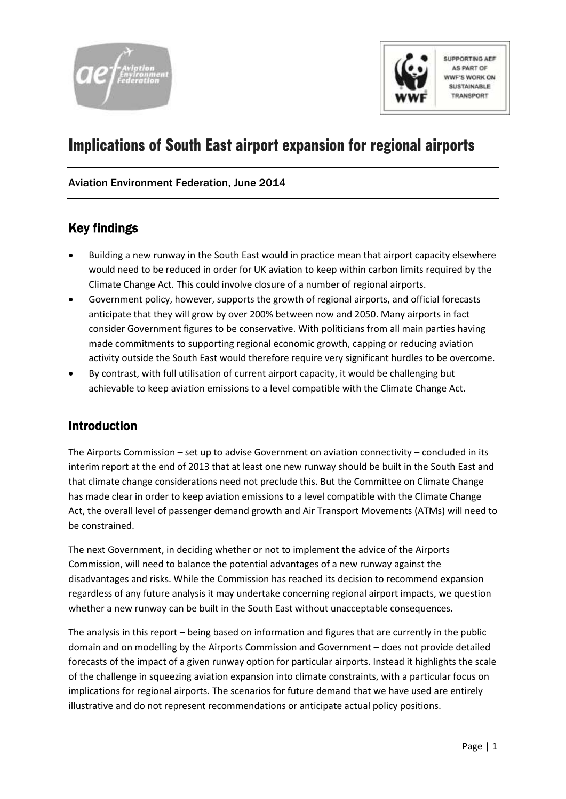



**SUPPORTING AEF AS PART OF WVF'S WORK ON SUSTAINABLE** TRANSPORT

# Implications of South East airport expansion for regional airports

### Aviation Environment Federation, June 2014

## Key findings

- Building a new runway in the South East would in practice mean that airport capacity elsewhere would need to be reduced in order for UK aviation to keep within carbon limits required by the Climate Change Act. This could involve closure of a number of regional airports.
- Government policy, however, supports the growth of regional airports, and official forecasts anticipate that they will grow by over 200% between now and 2050. Many airports in fact consider Government figures to be conservative. With politicians from all main parties having made commitments to supporting regional economic growth, capping or reducing aviation activity outside the South East would therefore require very significant hurdles to be overcome.
- By contrast, with full utilisation of current airport capacity, it would be challenging but achievable to keep aviation emissions to a level compatible with the Climate Change Act.

## Introduction

The Airports Commission – set up to advise Government on aviation connectivity – concluded in its interim report at the end of 2013 that at least one new runway should be built in the South East and that climate change considerations need not preclude this. But the Committee on Climate Change has made clear in order to keep aviation emissions to a level compatible with the Climate Change Act, the overall level of passenger demand growth and Air Transport Movements (ATMs) will need to be constrained.

The next Government, in deciding whether or not to implement the advice of the Airports Commission, will need to balance the potential advantages of a new runway against the disadvantages and risks. While the Commission has reached its decision to recommend expansion regardless of any future analysis it may undertake concerning regional airport impacts, we question whether a new runway can be built in the South East without unacceptable consequences.

The analysis in this report – being based on information and figures that are currently in the public domain and on modelling by the Airports Commission and Government – does not provide detailed forecasts of the impact of a given runway option for particular airports. Instead it highlights the scale of the challenge in squeezing aviation expansion into climate constraints, with a particular focus on implications for regional airports. The scenarios for future demand that we have used are entirely illustrative and do not represent recommendations or anticipate actual policy positions.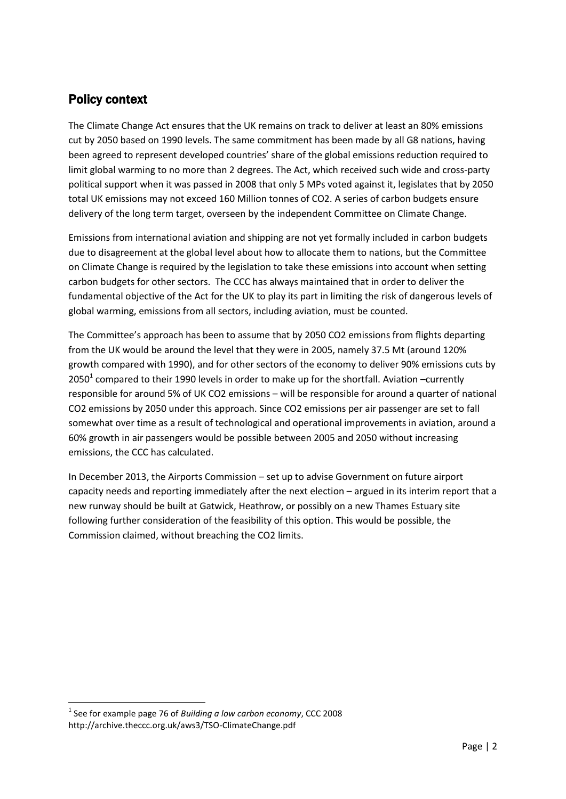## Policy context

The Climate Change Act ensures that the UK remains on track to deliver at least an 80% emissions cut by 2050 based on 1990 levels. The same commitment has been made by all G8 nations, having been agreed to represent developed countries' share of the global emissions reduction required to limit global warming to no more than 2 degrees. The Act, which received such wide and cross-party political support when it was passed in 2008 that only 5 MPs voted against it, legislates that by 2050 total UK emissions may not exceed 160 Million tonnes of CO2. A series of carbon budgets ensure delivery of the long term target, overseen by the independent Committee on Climate Change.

Emissions from international aviation and shipping are not yet formally included in carbon budgets due to disagreement at the global level about how to allocate them to nations, but the Committee on Climate Change is required by the legislation to take these emissions into account when setting carbon budgets for other sectors. The CCC has always maintained that in order to deliver the fundamental objective of the Act for the UK to play its part in limiting the risk of dangerous levels of global warming, emissions from all sectors, including aviation, must be counted.

The Committee's approach has been to assume that by 2050 CO2 emissions from flights departing from the UK would be around the level that they were in 2005, namely 37.5 Mt (around 120% growth compared with 1990), and for other sectors of the economy to deliver 90% emissions cuts by 2050<sup>1</sup> compared to their 1990 levels in order to make up for the shortfall. Aviation -currently responsible for around 5% of UK CO2 emissions – will be responsible for around a quarter of national CO2 emissions by 2050 under this approach. Since CO2 emissions per air passenger are set to fall somewhat over time as a result of technological and operational improvements in aviation, around a 60% growth in air passengers would be possible between 2005 and 2050 without increasing emissions, the CCC has calculated.

In December 2013, the Airports Commission – set up to advise Government on future airport capacity needs and reporting immediately after the next election – argued in its interim report that a new runway should be built at Gatwick, Heathrow, or possibly on a new Thames Estuary site following further consideration of the feasibility of this option. This would be possible, the Commission claimed, without breaching the CO2 limits.

**<sup>.</sup>** 1 See for example page 76 of *Building a low carbon economy*, CCC 2008 http://archive.theccc.org.uk/aws3/TSO-ClimateChange.pdf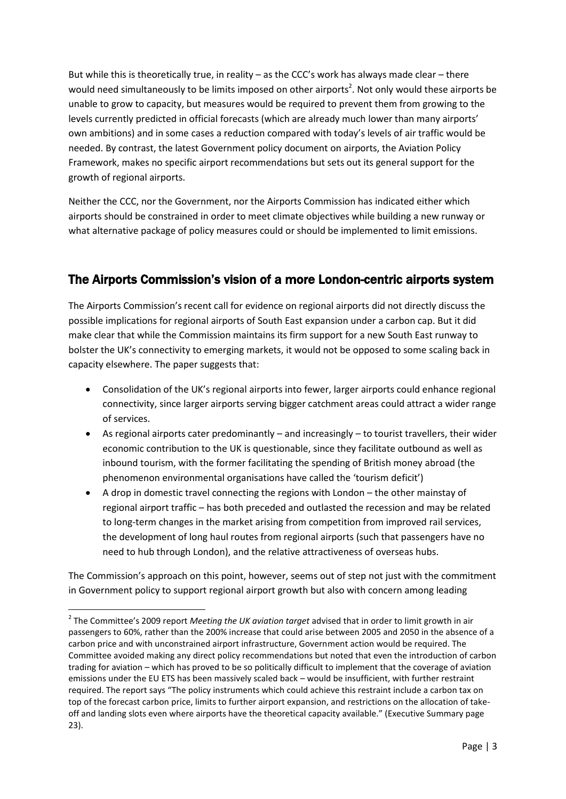But while this is theoretically true, in reality – as the CCC's work has always made clear – there would need simultaneously to be limits imposed on other airports<sup>2</sup>. Not only would these airports be unable to grow to capacity, but measures would be required to prevent them from growing to the levels currently predicted in official forecasts (which are already much lower than many airports' own ambitions) and in some cases a reduction compared with today's levels of air traffic would be needed. By contrast, the latest Government policy document on airports, the Aviation Policy Framework, makes no specific airport recommendations but sets out its general support for the growth of regional airports.

Neither the CCC, nor the Government, nor the Airports Commission has indicated either which airports should be constrained in order to meet climate objectives while building a new runway or what alternative package of policy measures could or should be implemented to limit emissions.

## The Airports Commission's vision of a more London-centric airports system

The Airports Commission's recent call for evidence on regional airports did not directly discuss the possible implications for regional airports of South East expansion under a carbon cap. But it did make clear that while the Commission maintains its firm support for a new South East runway to bolster the UK's connectivity to emerging markets, it would not be opposed to some scaling back in capacity elsewhere. The paper suggests that:

- Consolidation of the UK's regional airports into fewer, larger airports could enhance regional connectivity, since larger airports serving bigger catchment areas could attract a wider range of services.
- As regional airports cater predominantly and increasingly to tourist travellers, their wider economic contribution to the UK is questionable, since they facilitate outbound as well as inbound tourism, with the former facilitating the spending of British money abroad (the phenomenon environmental organisations have called the 'tourism deficit')
- A drop in domestic travel connecting the regions with London the other mainstay of regional airport traffic – has both preceded and outlasted the recession and may be related to long-term changes in the market arising from competition from improved rail services, the development of long haul routes from regional airports (such that passengers have no need to hub through London), and the relative attractiveness of overseas hubs.

The Commission's approach on this point, however, seems out of step not just with the commitment in Government policy to support regional airport growth but also with concern among leading

<sup>2</sup> The Committee's 2009 report *Meeting the UK aviation target* advised that in order to limit growth in air passengers to 60%, rather than the 200% increase that could arise between 2005 and 2050 in the absence of a carbon price and with unconstrained airport infrastructure, Government action would be required. The Committee avoided making any direct policy recommendations but noted that even the introduction of carbon trading for aviation – which has proved to be so politically difficult to implement that the coverage of aviation emissions under the EU ETS has been massively scaled back – would be insufficient, with further restraint required. The report says "The policy instruments which could achieve this restraint include a carbon tax on top of the forecast carbon price, limits to further airport expansion, and restrictions on the allocation of takeoff and landing slots even where airports have the theoretical capacity available." (Executive Summary page 23).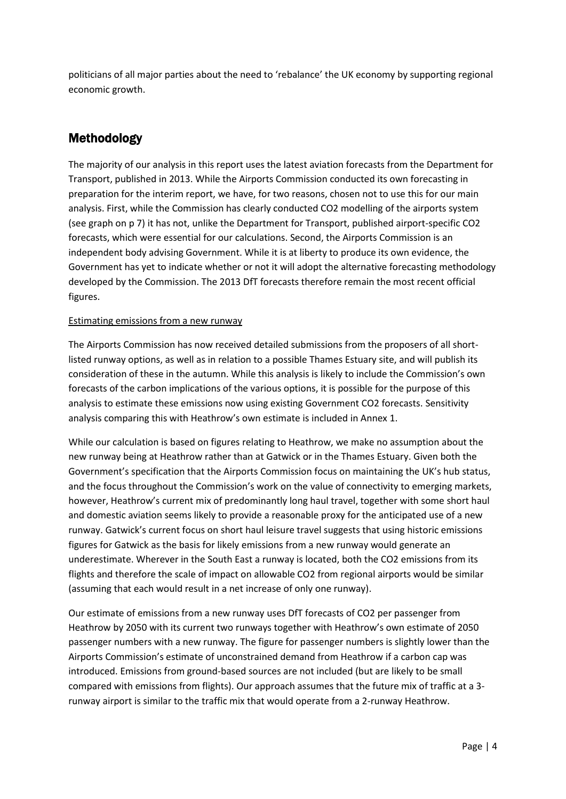politicians of all major parties about the need to 'rebalance' the UK economy by supporting regional economic growth.

## Methodology

The majority of our analysis in this report uses the latest aviation forecasts from the Department for Transport, published in 2013. While the Airports Commission conducted its own forecasting in preparation for the interim report, we have, for two reasons, chosen not to use this for our main analysis. First, while the Commission has clearly conducted CO2 modelling of the airports system (see graph on p 7) it has not, unlike the Department for Transport, published airport-specific CO2 forecasts, which were essential for our calculations. Second, the Airports Commission is an independent body advising Government. While it is at liberty to produce its own evidence, the Government has yet to indicate whether or not it will adopt the alternative forecasting methodology developed by the Commission. The 2013 DfT forecasts therefore remain the most recent official figures.

### Estimating emissions from a new runway

The Airports Commission has now received detailed submissions from the proposers of all shortlisted runway options, as well as in relation to a possible Thames Estuary site, and will publish its consideration of these in the autumn. While this analysis is likely to include the Commission's own forecasts of the carbon implications of the various options, it is possible for the purpose of this analysis to estimate these emissions now using existing Government CO2 forecasts. Sensitivity analysis comparing this with Heathrow's own estimate is included in Annex 1.

While our calculation is based on figures relating to Heathrow, we make no assumption about the new runway being at Heathrow rather than at Gatwick or in the Thames Estuary. Given both the Government's specification that the Airports Commission focus on maintaining the UK's hub status, and the focus throughout the Commission's work on the value of connectivity to emerging markets, however, Heathrow's current mix of predominantly long haul travel, together with some short haul and domestic aviation seems likely to provide a reasonable proxy for the anticipated use of a new runway. Gatwick's current focus on short haul leisure travel suggests that using historic emissions figures for Gatwick as the basis for likely emissions from a new runway would generate an underestimate. Wherever in the South East a runway is located, both the CO2 emissions from its flights and therefore the scale of impact on allowable CO2 from regional airports would be similar (assuming that each would result in a net increase of only one runway).

Our estimate of emissions from a new runway uses DfT forecasts of CO2 per passenger from Heathrow by 2050 with its current two runways together with Heathrow's own estimate of 2050 passenger numbers with a new runway. The figure for passenger numbers is slightly lower than the Airports Commission's estimate of unconstrained demand from Heathrow if a carbon cap was introduced. Emissions from ground-based sources are not included (but are likely to be small compared with emissions from flights). Our approach assumes that the future mix of traffic at a 3 runway airport is similar to the traffic mix that would operate from a 2-runway Heathrow.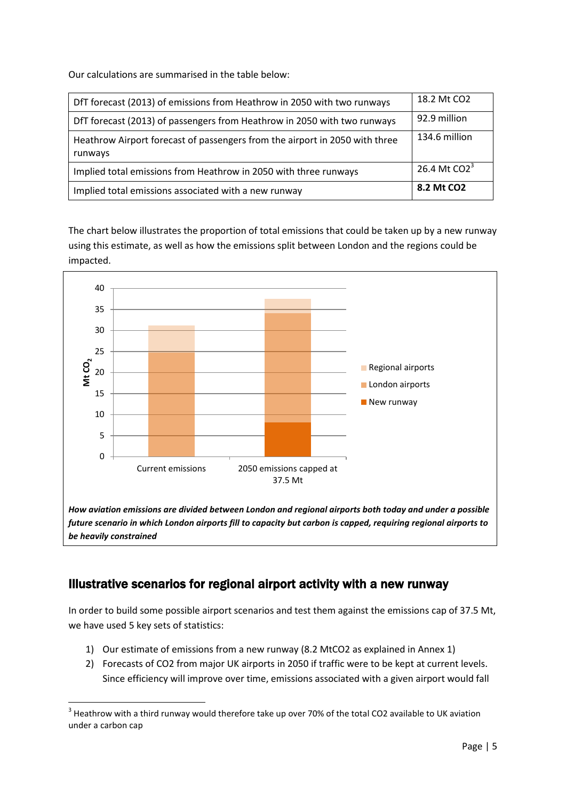Our calculations are summarised in the table below:

| DfT forecast (2013) of emissions from Heathrow in 2050 with two runways                | 18.2 Mt CO2            |
|----------------------------------------------------------------------------------------|------------------------|
| DfT forecast (2013) of passengers from Heathrow in 2050 with two runways               | 92.9 million           |
| Heathrow Airport forecast of passengers from the airport in 2050 with three<br>runways | 134.6 million          |
| Implied total emissions from Heathrow in 2050 with three runways                       | 26.4 Mt $CO2^3$        |
| Implied total emissions associated with a new runway                                   | 8.2 Mt CO <sub>2</sub> |

The chart below illustrates the proportion of total emissions that could be taken up by a new runway using this estimate, as well as how the emissions split between London and the regions could be impacted.



*be heavily constrained* 

**.** 

## Illustrative scenarios for regional airport activity with a new runway

In order to build some possible airport scenarios and test them against the emissions cap of 37.5 Mt, we have used 5 key sets of statistics:

- 1) Our estimate of emissions from a new runway (8.2 MtCO2 as explained in Annex 1)
- 2) Forecasts of CO2 from major UK airports in 2050 if traffic were to be kept at current levels. Since efficiency will improve over time, emissions associated with a given airport would fall

 $3$  Heathrow with a third runway would therefore take up over 70% of the total CO2 available to UK aviation under a carbon cap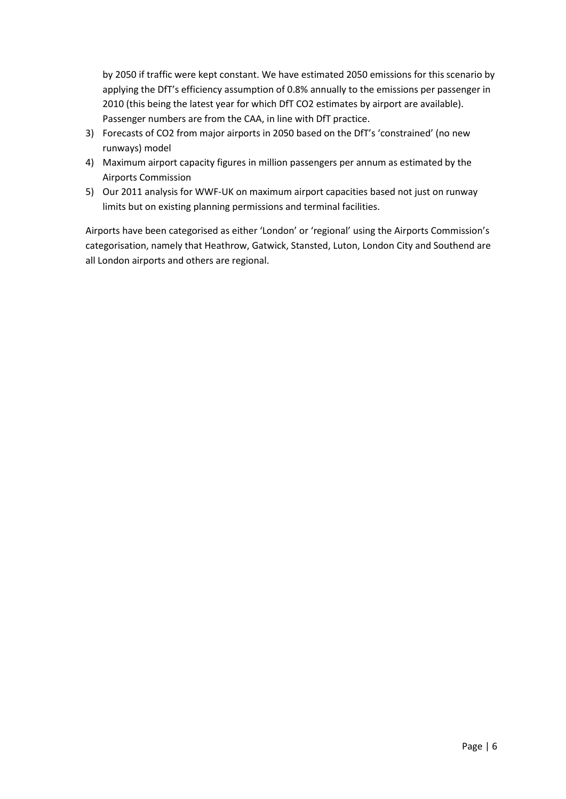by 2050 if traffic were kept constant. We have estimated 2050 emissions for this scenario by applying the DfT's efficiency assumption of 0.8% annually to the emissions per passenger in 2010 (this being the latest year for which DfT CO2 estimates by airport are available). Passenger numbers are from the CAA, in line with DfT practice.

- 3) Forecasts of CO2 from major airports in 2050 based on the DfT's 'constrained' (no new runways) model
- 4) Maximum airport capacity figures in million passengers per annum as estimated by the Airports Commission
- 5) Our 2011 analysis for WWF-UK on maximum airport capacities based not just on runway limits but on existing planning permissions and terminal facilities.

Airports have been categorised as either 'London' or 'regional' using the Airports Commission's categorisation, namely that Heathrow, Gatwick, Stansted, Luton, London City and Southend are all London airports and others are regional.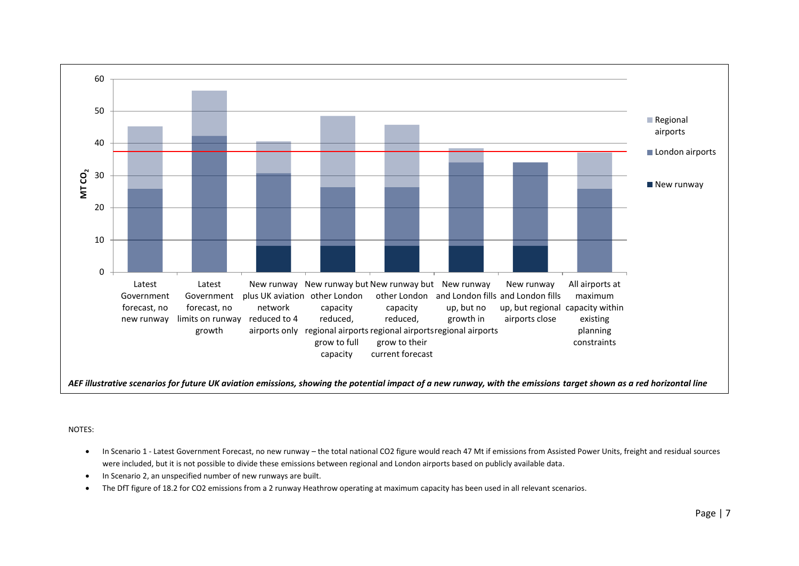

#### NOTES:

- In Scenario 1 Latest Government Forecast, no new runway the total national CO2 figure would reach 47 Mt if emissions from Assisted Power Units, freight and residual sources were included, but it is not possible to divide these emissions between regional and London airports based on publicly available data.
- In Scenario 2, an unspecified number of new runways are built.
- The DfT figure of 18.2 for CO2 emissions from a 2 runway Heathrow operating at maximum capacity has been used in all relevant scenarios.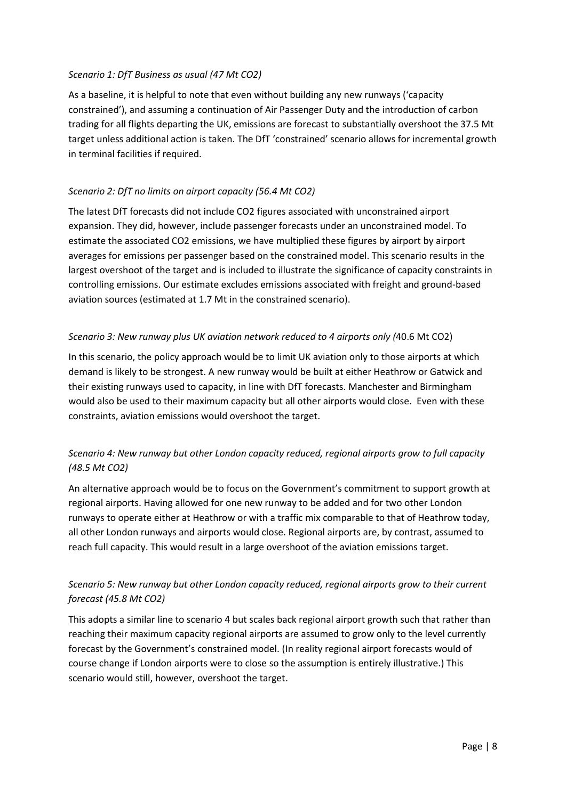### *Scenario 1: DfT Business as usual (47 Mt CO2)*

As a baseline, it is helpful to note that even without building any new runways ('capacity constrained'), and assuming a continuation of Air Passenger Duty and the introduction of carbon trading for all flights departing the UK, emissions are forecast to substantially overshoot the 37.5 Mt target unless additional action is taken. The DfT 'constrained' scenario allows for incremental growth in terminal facilities if required.

### *Scenario 2: DfT no limits on airport capacity (56.4 Mt CO2)*

The latest DfT forecasts did not include CO2 figures associated with unconstrained airport expansion. They did, however, include passenger forecasts under an unconstrained model. To estimate the associated CO2 emissions, we have multiplied these figures by airport by airport averages for emissions per passenger based on the constrained model. This scenario results in the largest overshoot of the target and is included to illustrate the significance of capacity constraints in controlling emissions. Our estimate excludes emissions associated with freight and ground-based aviation sources (estimated at 1.7 Mt in the constrained scenario).

### *Scenario 3: New runway plus UK aviation network reduced to 4 airports only (*40.6 Mt CO2)

In this scenario, the policy approach would be to limit UK aviation only to those airports at which demand is likely to be strongest. A new runway would be built at either Heathrow or Gatwick and their existing runways used to capacity, in line with DfT forecasts. Manchester and Birmingham would also be used to their maximum capacity but all other airports would close. Even with these constraints, aviation emissions would overshoot the target.

### *Scenario 4: New runway but other London capacity reduced, regional airports grow to full capacity (48.5 Mt CO2)*

An alternative approach would be to focus on the Government's commitment to support growth at regional airports. Having allowed for one new runway to be added and for two other London runways to operate either at Heathrow or with a traffic mix comparable to that of Heathrow today, all other London runways and airports would close. Regional airports are, by contrast, assumed to reach full capacity. This would result in a large overshoot of the aviation emissions target.

### *Scenario 5: New runway but other London capacity reduced, regional airports grow to their current forecast (45.8 Mt CO2)*

This adopts a similar line to scenario 4 but scales back regional airport growth such that rather than reaching their maximum capacity regional airports are assumed to grow only to the level currently forecast by the Government's constrained model. (In reality regional airport forecasts would of course change if London airports were to close so the assumption is entirely illustrative.) This scenario would still, however, overshoot the target.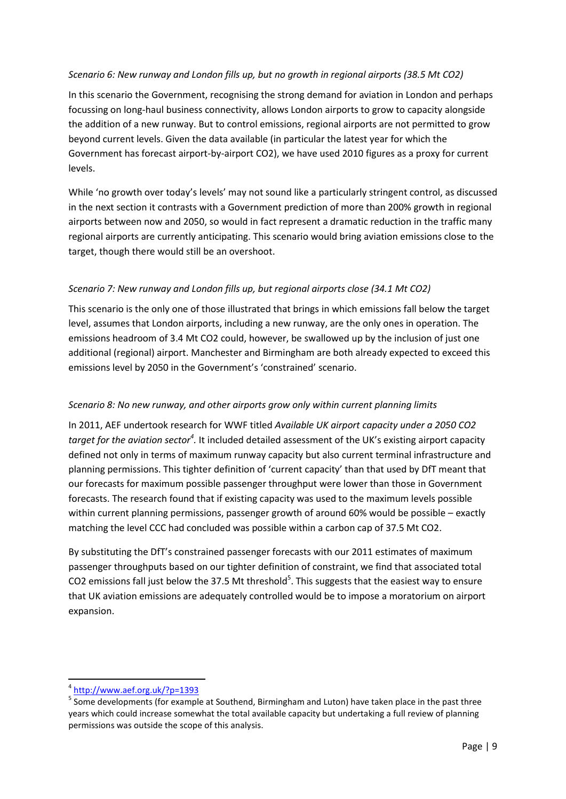### *Scenario 6: New runway and London fills up, but no growth in regional airports (38.5 Mt CO2)*

In this scenario the Government, recognising the strong demand for aviation in London and perhaps focussing on long-haul business connectivity, allows London airports to grow to capacity alongside the addition of a new runway. But to control emissions, regional airports are not permitted to grow beyond current levels. Given the data available (in particular the latest year for which the Government has forecast airport-by-airport CO2), we have used 2010 figures as a proxy for current levels.

While 'no growth over today's levels' may not sound like a particularly stringent control, as discussed in the next section it contrasts with a Government prediction of more than 200% growth in regional airports between now and 2050, so would in fact represent a dramatic reduction in the traffic many regional airports are currently anticipating. This scenario would bring aviation emissions close to the target, though there would still be an overshoot.

### *Scenario 7: New runway and London fills up, but regional airports close (34.1 Mt CO2)*

This scenario is the only one of those illustrated that brings in which emissions fall below the target level, assumes that London airports, including a new runway, are the only ones in operation. The emissions headroom of 3.4 Mt CO2 could, however, be swallowed up by the inclusion of just one additional (regional) airport. Manchester and Birmingham are both already expected to exceed this emissions level by 2050 in the Government's 'constrained' scenario.

### *Scenario 8: No new runway, and other airports grow only within current planning limits*

In 2011, AEF undertook research for WWF titled *Available UK airport capacity under a 2050 CO2*  target for the aviation sector<sup>4</sup>. It included detailed assessment of the UK's existing airport capacity defined not only in terms of maximum runway capacity but also current terminal infrastructure and planning permissions. This tighter definition of 'current capacity' than that used by DfT meant that our forecasts for maximum possible passenger throughput were lower than those in Government forecasts. The research found that if existing capacity was used to the maximum levels possible within current planning permissions, passenger growth of around 60% would be possible – exactly matching the level CCC had concluded was possible within a carbon cap of 37.5 Mt CO2.

By substituting the DfT's constrained passenger forecasts with our 2011 estimates of maximum passenger throughputs based on our tighter definition of constraint, we find that associated total CO2 emissions fall just below the 37.5 Mt threshold<sup>5</sup>. This suggests that the easiest way to ensure that UK aviation emissions are adequately controlled would be to impose a moratorium on airport expansion.

<sup>4</sup> <http://www.aef.org.uk/?p=1393>

<sup>&</sup>lt;sup>5</sup> Some developments (for example at Southend, Birmingham and Luton) have taken place in the past three years which could increase somewhat the total available capacity but undertaking a full review of planning permissions was outside the scope of this analysis.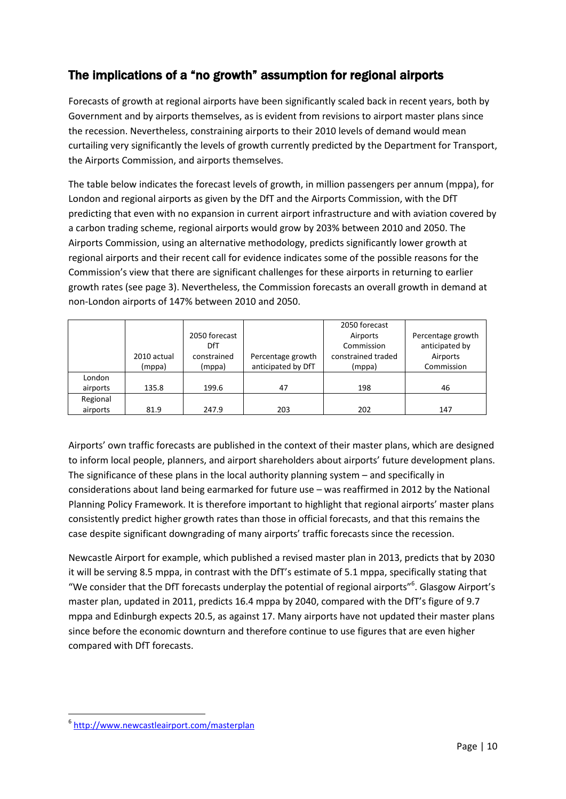## The implications of a "no growth" assumption for regional airports

Forecasts of growth at regional airports have been significantly scaled back in recent years, both by Government and by airports themselves, as is evident from revisions to airport master plans since the recession. Nevertheless, constraining airports to their 2010 levels of demand would mean curtailing very significantly the levels of growth currently predicted by the Department for Transport, the Airports Commission, and airports themselves.

The table below indicates the forecast levels of growth, in million passengers per annum (mppa), for London and regional airports as given by the DfT and the Airports Commission, with the DfT predicting that even with no expansion in current airport infrastructure and with aviation covered by a carbon trading scheme, regional airports would grow by 203% between 2010 and 2050. The Airports Commission, using an alternative methodology, predicts significantly lower growth at regional airports and their recent call for evidence indicates some of the possible reasons for the Commission's view that there are significant challenges for these airports in returning to earlier growth rates (see page 3). Nevertheless, the Commission forecasts an overall growth in demand at non-London airports of 147% between 2010 and 2050.

|          |             |               |                    | 2050 forecast      |                   |
|----------|-------------|---------------|--------------------|--------------------|-------------------|
|          |             | 2050 forecast |                    | Airports           | Percentage growth |
|          |             | DfT           |                    | Commission         | anticipated by    |
|          | 2010 actual | constrained   | Percentage growth  | constrained traded | Airports          |
|          | (mppa)      | (mppa)        | anticipated by DfT | (mppa)             | Commission        |
| London   |             |               |                    |                    |                   |
| airports | 135.8       | 199.6         | 47                 | 198                | 46                |
| Regional |             |               |                    |                    |                   |
| airports | 81.9        | 247.9         | 203                | 202                | 147               |

Airports' own traffic forecasts are published in the context of their master plans, which are designed to inform local people, planners, and airport shareholders about airports' future development plans. The significance of these plans in the local authority planning system – and specifically in considerations about land being earmarked for future use – was reaffirmed in 2012 by the National Planning Policy Framework. It is therefore important to highlight that regional airports' master plans consistently predict higher growth rates than those in official forecasts, and that this remains the case despite significant downgrading of many airports' traffic forecasts since the recession.

Newcastle Airport for example, which published a revised master plan in 2013, predicts that by 2030 it will be serving 8.5 mppa, in contrast with the DfT's estimate of 5.1 mppa, specifically stating that "We consider that the DfT forecasts underplay the potential of regional airports"<sup>6</sup>. Glasgow Airport's master plan, updated in 2011, predicts 16.4 mppa by 2040, compared with the DfT's figure of 9.7 mppa and Edinburgh expects 20.5, as against 17. Many airports have not updated their master plans since before the economic downturn and therefore continue to use figures that are even higher compared with DfT forecasts.

<sup>6</sup> <http://www.newcastleairport.com/masterplan>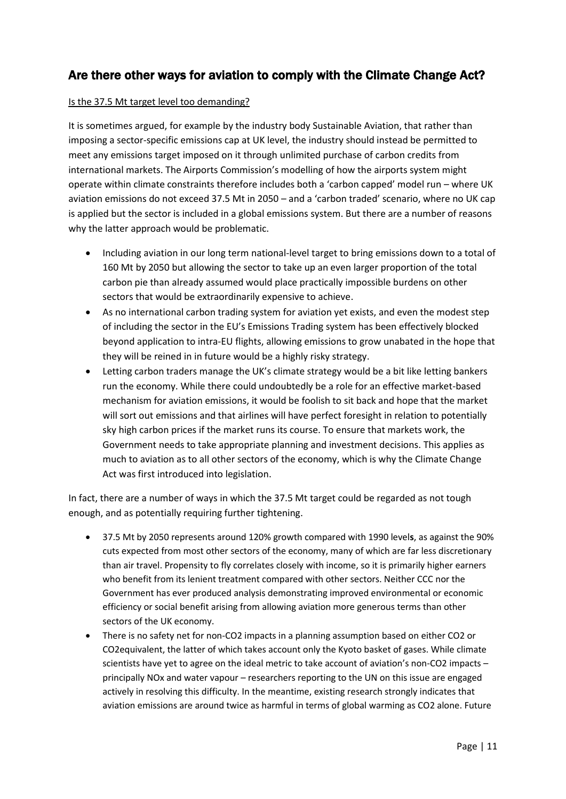## Are there other ways for aviation to comply with the Climate Change Act?

### Is the 37.5 Mt target level too demanding?

It is sometimes argued, for example by the industry body Sustainable Aviation, that rather than imposing a sector-specific emissions cap at UK level, the industry should instead be permitted to meet any emissions target imposed on it through unlimited purchase of carbon credits from international markets. The Airports Commission's modelling of how the airports system might operate within climate constraints therefore includes both a 'carbon capped' model run – where UK aviation emissions do not exceed 37.5 Mt in 2050 – and a 'carbon traded' scenario, where no UK cap is applied but the sector is included in a global emissions system. But there are a number of reasons why the latter approach would be problematic.

- Including aviation in our long term national-level target to bring emissions down to a total of 160 Mt by 2050 but allowing the sector to take up an even larger proportion of the total carbon pie than already assumed would place practically impossible burdens on other sectors that would be extraordinarily expensive to achieve.
- As no international carbon trading system for aviation yet exists, and even the modest step of including the sector in the EU's Emissions Trading system has been effectively blocked beyond application to intra-EU flights, allowing emissions to grow unabated in the hope that they will be reined in in future would be a highly risky strategy.
- Letting carbon traders manage the UK's climate strategy would be a bit like letting bankers run the economy. While there could undoubtedly be a role for an effective market-based mechanism for aviation emissions, it would be foolish to sit back and hope that the market will sort out emissions and that airlines will have perfect foresight in relation to potentially sky high carbon prices if the market runs its course. To ensure that markets work, the Government needs to take appropriate planning and investment decisions. This applies as much to aviation as to all other sectors of the economy, which is why the Climate Change Act was first introduced into legislation.

In fact, there are a number of ways in which the 37.5 Mt target could be regarded as not tough enough, and as potentially requiring further tightening.

- 37.5 Mt by 2050 represents around 120% growth compared with 1990 level**s**, as against the 90% cuts expected from most other sectors of the economy, many of which are far less discretionary than air travel. Propensity to fly correlates closely with income, so it is primarily higher earners who benefit from its lenient treatment compared with other sectors. Neither CCC nor the Government has ever produced analysis demonstrating improved environmental or economic efficiency or social benefit arising from allowing aviation more generous terms than other sectors of the UK economy.
- There is no safety net for non-CO2 impacts in a planning assumption based on either CO2 or CO2equivalent, the latter of which takes account only the Kyoto basket of gases. While climate scientists have yet to agree on the ideal metric to take account of aviation's non-CO2 impacts – principally NOx and water vapour – researchers reporting to the UN on this issue are engaged actively in resolving this difficulty. In the meantime, existing research strongly indicates that aviation emissions are around twice as harmful in terms of global warming as CO2 alone. Future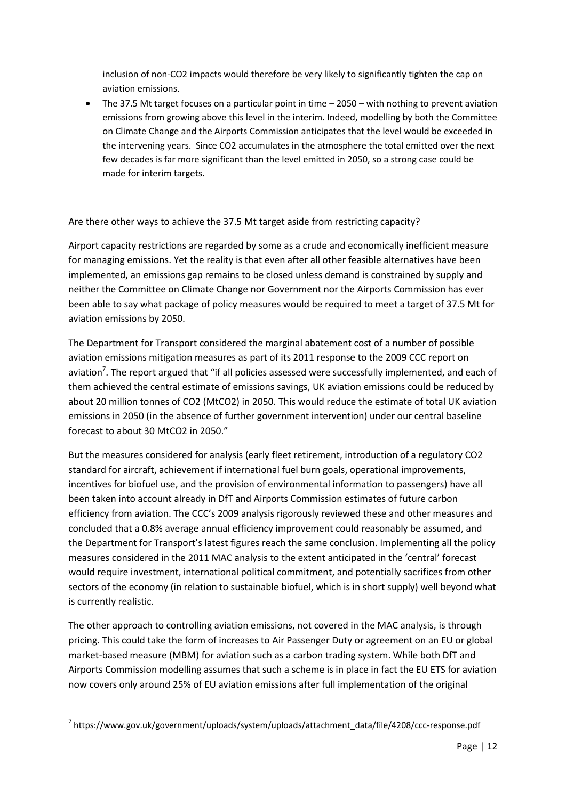inclusion of non-CO2 impacts would therefore be very likely to significantly tighten the cap on aviation emissions.

 The 37.5 Mt target focuses on a particular point in time – 2050 – with nothing to prevent aviation emissions from growing above this level in the interim. Indeed, modelling by both the Committee on Climate Change and the Airports Commission anticipates that the level would be exceeded in the intervening years. Since CO2 accumulates in the atmosphere the total emitted over the next few decades is far more significant than the level emitted in 2050, so a strong case could be made for interim targets.

### Are there other ways to achieve the 37.5 Mt target aside from restricting capacity?

Airport capacity restrictions are regarded by some as a crude and economically inefficient measure for managing emissions. Yet the reality is that even after all other feasible alternatives have been implemented, an emissions gap remains to be closed unless demand is constrained by supply and neither the Committee on Climate Change nor Government nor the Airports Commission has ever been able to say what package of policy measures would be required to meet a target of 37.5 Mt for aviation emissions by 2050.

The Department for Transport considered the marginal abatement cost of a number of possible aviation emissions mitigation measures as part of its 2011 response to the 2009 CCC report on aviation<sup>7</sup>. The report argued that "if all policies assessed were successfully implemented, and each of them achieved the central estimate of emissions savings, UK aviation emissions could be reduced by about 20 million tonnes of CO2 (MtCO2) in 2050. This would reduce the estimate of total UK aviation emissions in 2050 (in the absence of further government intervention) under our central baseline forecast to about 30 MtCO2 in 2050."

But the measures considered for analysis (early fleet retirement, introduction of a regulatory CO2 standard for aircraft, achievement if international fuel burn goals, operational improvements, incentives for biofuel use, and the provision of environmental information to passengers) have all been taken into account already in DfT and Airports Commission estimates of future carbon efficiency from aviation. The CCC's 2009 analysis rigorously reviewed these and other measures and concluded that a 0.8% average annual efficiency improvement could reasonably be assumed, and the Department for Transport's latest figures reach the same conclusion. Implementing all the policy measures considered in the 2011 MAC analysis to the extent anticipated in the 'central' forecast would require investment, international political commitment, and potentially sacrifices from other sectors of the economy (in relation to sustainable biofuel, which is in short supply) well beyond what is currently realistic.

The other approach to controlling aviation emissions, not covered in the MAC analysis, is through pricing. This could take the form of increases to Air Passenger Duty or agreement on an EU or global market-based measure (MBM) for aviation such as a carbon trading system. While both DfT and Airports Commission modelling assumes that such a scheme is in place in fact the EU ETS for aviation now covers only around 25% of EU aviation emissions after full implementation of the original

**<sup>.</sup>** <sup>7</sup> https://www.gov.uk/government/uploads/system/uploads/attachment\_data/file/4208/ccc-response.pdf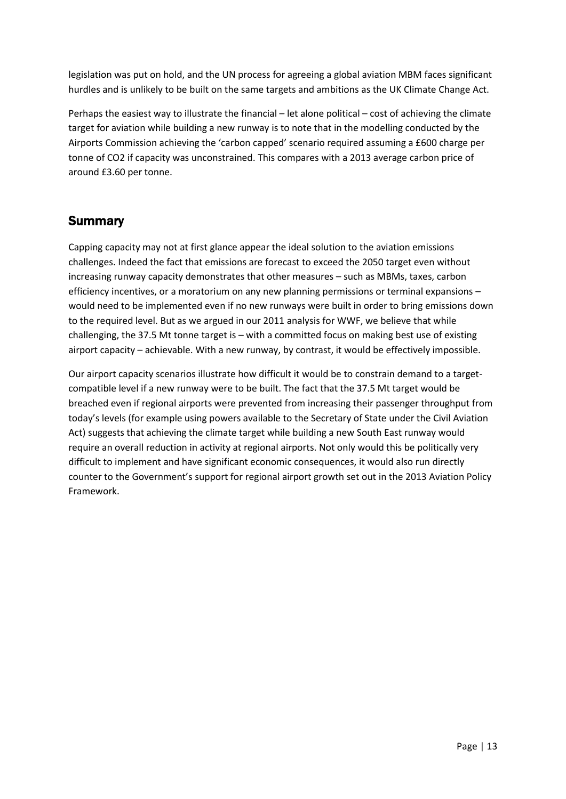legislation was put on hold, and the UN process for agreeing a global aviation MBM faces significant hurdles and is unlikely to be built on the same targets and ambitions as the UK Climate Change Act.

Perhaps the easiest way to illustrate the financial – let alone political – cost of achieving the climate target for aviation while building a new runway is to note that in the modelling conducted by the Airports Commission achieving the 'carbon capped' scenario required assuming a £600 charge per tonne of CO2 if capacity was unconstrained. This compares with a 2013 average carbon price of around £3.60 per tonne.

## **Summary**

Capping capacity may not at first glance appear the ideal solution to the aviation emissions challenges. Indeed the fact that emissions are forecast to exceed the 2050 target even without increasing runway capacity demonstrates that other measures – such as MBMs, taxes, carbon efficiency incentives, or a moratorium on any new planning permissions or terminal expansions – would need to be implemented even if no new runways were built in order to bring emissions down to the required level. But as we argued in our 2011 analysis for WWF, we believe that while challenging, the 37.5 Mt tonne target is – with a committed focus on making best use of existing airport capacity – achievable. With a new runway, by contrast, it would be effectively impossible.

Our airport capacity scenarios illustrate how difficult it would be to constrain demand to a targetcompatible level if a new runway were to be built. The fact that the 37.5 Mt target would be breached even if regional airports were prevented from increasing their passenger throughput from today's levels (for example using powers available to the Secretary of State under the Civil Aviation Act) suggests that achieving the climate target while building a new South East runway would require an overall reduction in activity at regional airports. Not only would this be politically very difficult to implement and have significant economic consequences, it would also run directly counter to the Government's support for regional airport growth set out in the 2013 Aviation Policy Framework.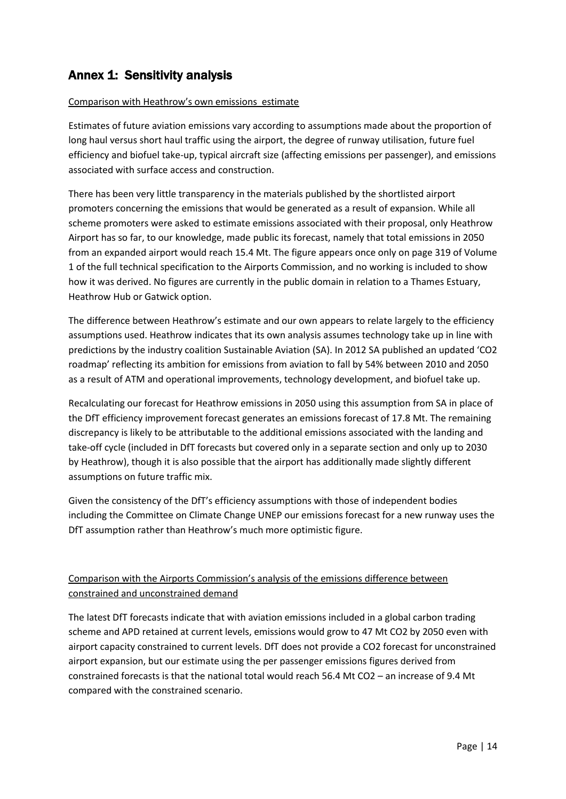## Annex 1: Sensitivity analysis

#### Comparison with Heathrow's own emissions estimate

Estimates of future aviation emissions vary according to assumptions made about the proportion of long haul versus short haul traffic using the airport, the degree of runway utilisation, future fuel efficiency and biofuel take-up, typical aircraft size (affecting emissions per passenger), and emissions associated with surface access and construction.

There has been very little transparency in the materials published by the shortlisted airport promoters concerning the emissions that would be generated as a result of expansion. While all scheme promoters were asked to estimate emissions associated with their proposal, only Heathrow Airport has so far, to our knowledge, made public its forecast, namely that total emissions in 2050 from an expanded airport would reach 15.4 Mt. The figure appears once only on page 319 of Volume 1 of the full technical specification to the Airports Commission, and no working is included to show how it was derived. No figures are currently in the public domain in relation to a Thames Estuary, Heathrow Hub or Gatwick option.

The difference between Heathrow's estimate and our own appears to relate largely to the efficiency assumptions used. Heathrow indicates that its own analysis assumes technology take up in line with predictions by the industry coalition Sustainable Aviation (SA). In 2012 SA published an updated 'CO2 roadmap' reflecting its ambition for emissions from aviation to fall by 54% between 2010 and 2050 as a result of ATM and operational improvements, technology development, and biofuel take up.

Recalculating our forecast for Heathrow emissions in 2050 using this assumption from SA in place of the DfT efficiency improvement forecast generates an emissions forecast of 17.8 Mt. The remaining discrepancy is likely to be attributable to the additional emissions associated with the landing and take-off cycle (included in DfT forecasts but covered only in a separate section and only up to 2030 by Heathrow), though it is also possible that the airport has additionally made slightly different assumptions on future traffic mix.

Given the consistency of the DfT's efficiency assumptions with those of independent bodies including the Committee on Climate Change UNEP our emissions forecast for a new runway uses the DfT assumption rather than Heathrow's much more optimistic figure.

### Comparison with the Airports Commission's analysis of the emissions difference between constrained and unconstrained demand

The latest DfT forecasts indicate that with aviation emissions included in a global carbon trading scheme and APD retained at current levels, emissions would grow to 47 Mt CO2 by 2050 even with airport capacity constrained to current levels. DfT does not provide a CO2 forecast for unconstrained airport expansion, but our estimate using the per passenger emissions figures derived from constrained forecasts is that the national total would reach 56.4 Mt CO2 – an increase of 9.4 Mt compared with the constrained scenario.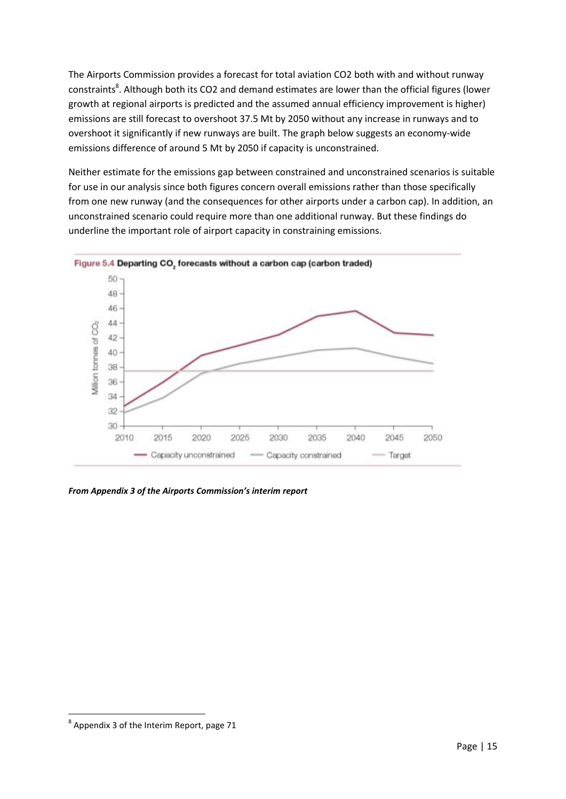The Airports Commission provides a forecast for total aviation CO2 both with and without runway constraints<sup>8</sup>. Although both its CO2 and demand estimates are lower than the official figures (lower growth at regional airports is predicted and the assumed annual efficiency improvement is higher) emissions are still forecast to overshoot 37.5 Mt by 2050 without any increase in runways and to overshoot it significantly if new runways are built. The graph below suggests an economy-wide emissions difference of around 5 Mt by 2050 if capacity is unconstrained.

Neither estimate for the emissions gap between constrained and unconstrained scenarios is suitable for use in our analysis since both figures concern overall emissions rather than those specifically from one new runway (and the consequences for other airports under a carbon cap). In addition, an unconstrained scenario could require more than one additional runway. But these findings do underline the important role of airport capacity in constraining emissions.



*From Appendix 3 of the Airports Commission's interim report*

 $^8$  Appendix 3 of the Interim Report, page 71